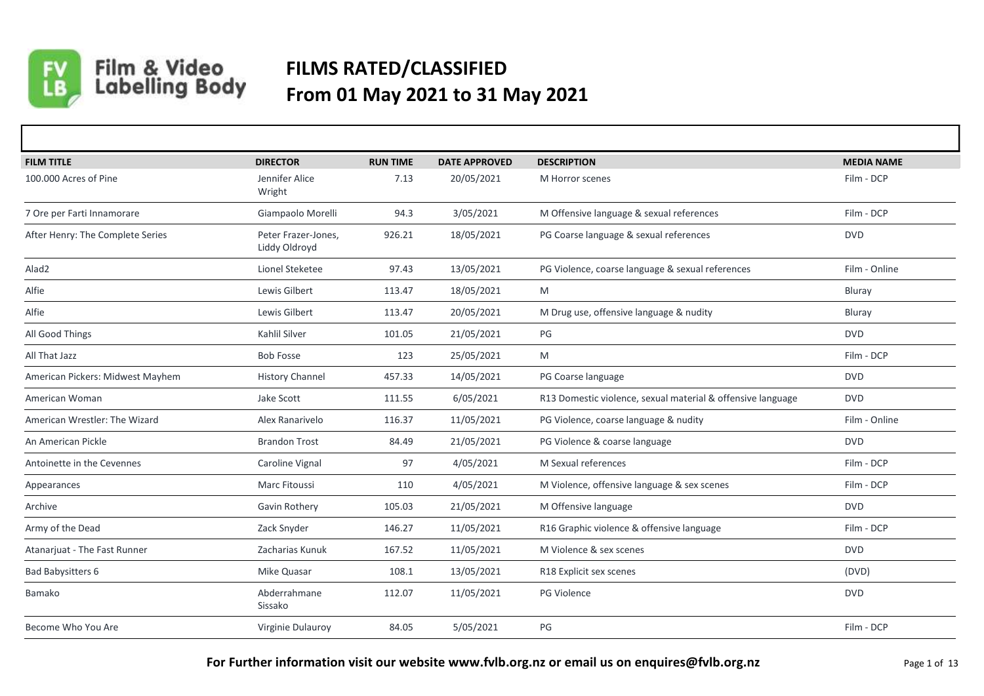

## Film & Video<br>Labelling Body

## **FILMS RATED/CLASSIFIED From 01 May 2021 to 31 May 2021**

| <b>FILM TITLE</b>                | <b>DIRECTOR</b>                      | <b>RUN TIME</b> | <b>DATE APPROVED</b> | <b>DESCRIPTION</b>                                          | <b>MEDIA NAME</b> |
|----------------------------------|--------------------------------------|-----------------|----------------------|-------------------------------------------------------------|-------------------|
| 100,000 Acres of Pine            | Jennifer Alice<br>Wright             | 7.13            | 20/05/2021           | M Horror scenes                                             | Film - DCP        |
| 7 Ore per Farti Innamorare       | Giampaolo Morelli                    | 94.3            | 3/05/2021            | M Offensive language & sexual references                    | Film - DCP        |
| After Henry: The Complete Series | Peter Frazer-Jones,<br>Liddy Oldroyd | 926.21          | 18/05/2021           | PG Coarse language & sexual references                      | <b>DVD</b>        |
| Alad <sub>2</sub>                | Lionel Steketee                      | 97.43           | 13/05/2021           | PG Violence, coarse language & sexual references            | Film - Online     |
| Alfie                            | Lewis Gilbert                        | 113.47          | 18/05/2021           | M                                                           | Bluray            |
| Alfie                            | Lewis Gilbert                        | 113.47          | 20/05/2021           | M Drug use, offensive language & nudity                     | Bluray            |
| All Good Things                  | Kahlil Silver                        | 101.05          | 21/05/2021           | PG                                                          | <b>DVD</b>        |
| All That Jazz                    | <b>Bob Fosse</b>                     | 123             | 25/05/2021           | M                                                           | Film - DCP        |
| American Pickers: Midwest Mayhem | <b>History Channel</b>               | 457.33          | 14/05/2021           | PG Coarse language                                          | <b>DVD</b>        |
| American Woman                   | Jake Scott                           | 111.55          | 6/05/2021            | R13 Domestic violence, sexual material & offensive language | <b>DVD</b>        |
| American Wrestler: The Wizard    | Alex Ranarivelo                      | 116.37          | 11/05/2021           | PG Violence, coarse language & nudity                       | Film - Online     |
| An American Pickle               | <b>Brandon Trost</b>                 | 84.49           | 21/05/2021           | PG Violence & coarse language                               | <b>DVD</b>        |
| Antoinette in the Cevennes       | Caroline Vignal                      | 97              | 4/05/2021            | M Sexual references                                         | Film - DCP        |
| Appearances                      | Marc Fitoussi                        | 110             | 4/05/2021            | M Violence, offensive language & sex scenes                 | Film - DCP        |
| Archive                          | Gavin Rothery                        | 105.03          | 21/05/2021           | M Offensive language                                        | <b>DVD</b>        |
| Army of the Dead                 | Zack Snyder                          | 146.27          | 11/05/2021           | R16 Graphic violence & offensive language                   | Film - DCP        |
| Atanarjuat - The Fast Runner     | Zacharias Kunuk                      | 167.52          | 11/05/2021           | M Violence & sex scenes                                     | <b>DVD</b>        |
| <b>Bad Babysitters 6</b>         | Mike Quasar                          | 108.1           | 13/05/2021           | R18 Explicit sex scenes                                     | (DVD)             |
| Bamako                           | Abderrahmane<br>Sissako              | 112.07          | 11/05/2021           | PG Violence                                                 | <b>DVD</b>        |
| Become Who You Are               | Virginie Dulauroy                    | 84.05           | 5/05/2021            | PG                                                          | Film - DCP        |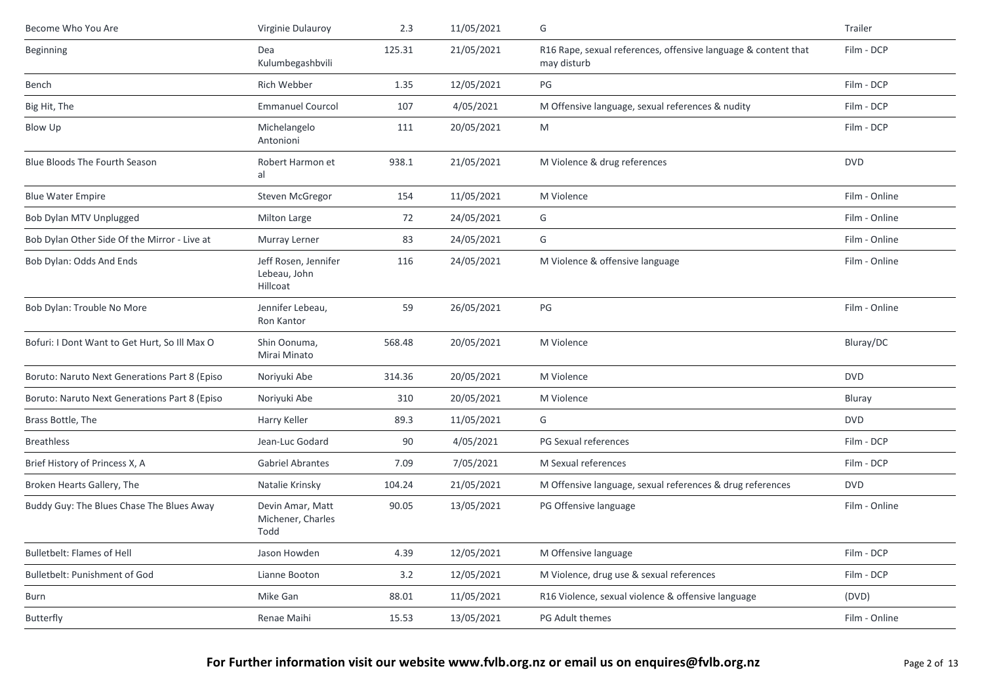| Become Who You Are                            | Virginie Dulauroy                                | 2.3    | 11/05/2021 | G                                                                             | Trailer       |
|-----------------------------------------------|--------------------------------------------------|--------|------------|-------------------------------------------------------------------------------|---------------|
| <b>Beginning</b>                              | Dea<br>Kulumbegashbvili                          | 125.31 | 21/05/2021 | R16 Rape, sexual references, offensive language & content that<br>may disturb | Film - DCP    |
| Bench                                         | Rich Webber                                      | 1.35   | 12/05/2021 | PG                                                                            | Film - DCP    |
| Big Hit, The                                  | <b>Emmanuel Courcol</b>                          | 107    | 4/05/2021  | M Offensive language, sexual references & nudity                              | Film - DCP    |
| Blow Up                                       | Michelangelo<br>Antonioni                        | 111    | 20/05/2021 | M                                                                             | Film - DCP    |
| <b>Blue Bloods The Fourth Season</b>          | Robert Harmon et<br>al                           | 938.1  | 21/05/2021 | M Violence & drug references                                                  | <b>DVD</b>    |
| <b>Blue Water Empire</b>                      | Steven McGregor                                  | 154    | 11/05/2021 | M Violence                                                                    | Film - Online |
| Bob Dylan MTV Unplugged                       | Milton Large                                     | 72     | 24/05/2021 | G                                                                             | Film - Online |
| Bob Dylan Other Side Of the Mirror - Live at  | Murray Lerner                                    | 83     | 24/05/2021 | G                                                                             | Film - Online |
| Bob Dylan: Odds And Ends                      | Jeff Rosen, Jennifer<br>Lebeau, John<br>Hillcoat | 116    | 24/05/2021 | M Violence & offensive language                                               | Film - Online |
| Bob Dylan: Trouble No More                    | Jennifer Lebeau,<br>Ron Kantor                   | 59     | 26/05/2021 | PG                                                                            | Film - Online |
| Bofuri: I Dont Want to Get Hurt, So Ill Max O | Shin Oonuma,<br>Mirai Minato                     | 568.48 | 20/05/2021 | M Violence                                                                    | Bluray/DC     |
| Boruto: Naruto Next Generations Part 8 (Episo | Noriyuki Abe                                     | 314.36 | 20/05/2021 | M Violence                                                                    | <b>DVD</b>    |
| Boruto: Naruto Next Generations Part 8 (Episo | Noriyuki Abe                                     | 310    | 20/05/2021 | M Violence                                                                    | Bluray        |
| Brass Bottle, The                             | Harry Keller                                     | 89.3   | 11/05/2021 | G                                                                             | <b>DVD</b>    |
| <b>Breathless</b>                             | Jean-Luc Godard                                  | 90     | 4/05/2021  | PG Sexual references                                                          | Film - DCP    |
| Brief History of Princess X, A                | <b>Gabriel Abrantes</b>                          | 7.09   | 7/05/2021  | M Sexual references                                                           | Film - DCP    |
| Broken Hearts Gallery, The                    | Natalie Krinsky                                  | 104.24 | 21/05/2021 | M Offensive language, sexual references & drug references                     | <b>DVD</b>    |
| Buddy Guy: The Blues Chase The Blues Away     | Devin Amar, Matt<br>Michener, Charles<br>Todd    | 90.05  | 13/05/2021 | PG Offensive language                                                         | Film - Online |
| <b>Bulletbelt: Flames of Hell</b>             | Jason Howden                                     | 4.39   | 12/05/2021 | M Offensive language                                                          | Film - DCP    |
| Bulletbelt: Punishment of God                 | Lianne Booton                                    | 3.2    | 12/05/2021 | M Violence, drug use & sexual references                                      | Film - DCP    |
| Burn                                          | Mike Gan                                         | 88.01  | 11/05/2021 | R16 Violence, sexual violence & offensive language                            | (DVD)         |
| <b>Butterfly</b>                              | Renae Maihi                                      | 15.53  | 13/05/2021 | PG Adult themes                                                               | Film - Online |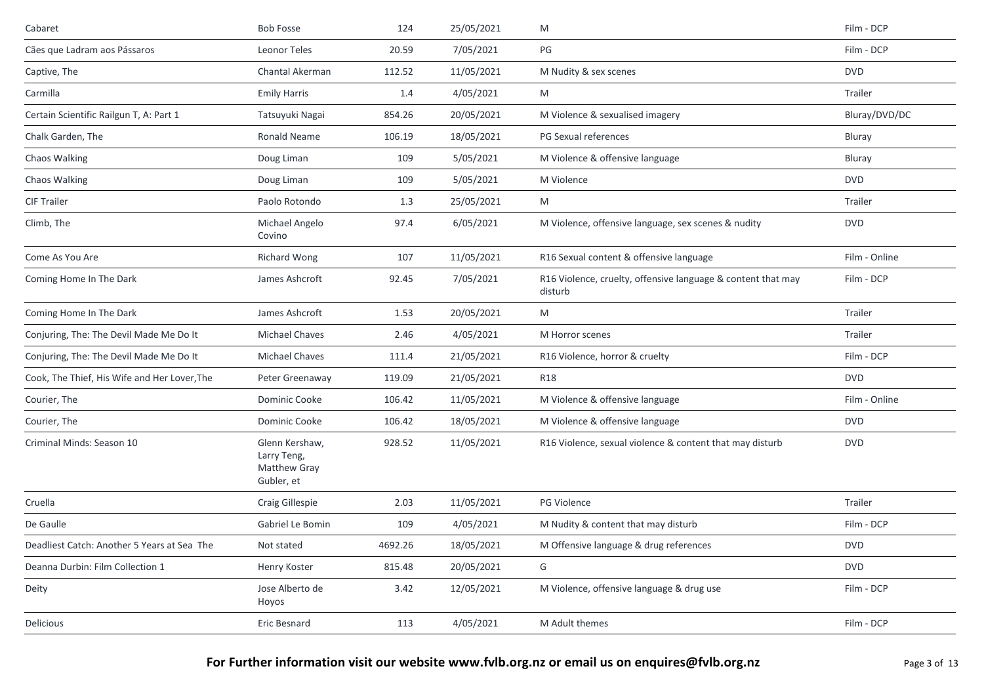| Cabaret                                      | <b>Bob Fosse</b>                                            | 124     | 25/05/2021 | M                                                                       | Film - DCP    |
|----------------------------------------------|-------------------------------------------------------------|---------|------------|-------------------------------------------------------------------------|---------------|
| Cães que Ladram aos Pássaros                 | Leonor Teles                                                | 20.59   | 7/05/2021  | PG                                                                      | Film - DCP    |
| Captive, The                                 | Chantal Akerman                                             | 112.52  | 11/05/2021 | M Nudity & sex scenes                                                   | <b>DVD</b>    |
| Carmilla                                     | <b>Emily Harris</b>                                         | 1.4     | 4/05/2021  | M                                                                       | Trailer       |
| Certain Scientific Railgun T, A: Part 1      | Tatsuyuki Nagai                                             | 854.26  | 20/05/2021 | M Violence & sexualised imagery                                         | Bluray/DVD/DC |
| Chalk Garden, The                            | Ronald Neame                                                | 106.19  | 18/05/2021 | PG Sexual references                                                    | Bluray        |
| Chaos Walking                                | Doug Liman                                                  | 109     | 5/05/2021  | M Violence & offensive language                                         | Bluray        |
| Chaos Walking                                | Doug Liman                                                  | 109     | 5/05/2021  | M Violence                                                              | <b>DVD</b>    |
| <b>CIF Trailer</b>                           | Paolo Rotondo                                               | 1.3     | 25/05/2021 | M                                                                       | Trailer       |
| Climb, The                                   | Michael Angelo<br>Covino                                    | 97.4    | 6/05/2021  | M Violence, offensive language, sex scenes & nudity                     | <b>DVD</b>    |
| Come As You Are                              | Richard Wong                                                | 107     | 11/05/2021 | R16 Sexual content & offensive language                                 | Film - Online |
| Coming Home In The Dark                      | James Ashcroft                                              | 92.45   | 7/05/2021  | R16 Violence, cruelty, offensive language & content that may<br>disturb | Film - DCP    |
| Coming Home In The Dark                      | James Ashcroft                                              | 1.53    | 20/05/2021 | M                                                                       | Trailer       |
| Conjuring, The: The Devil Made Me Do It      | <b>Michael Chaves</b>                                       | 2.46    | 4/05/2021  | M Horror scenes                                                         | Trailer       |
| Conjuring, The: The Devil Made Me Do It      | <b>Michael Chaves</b>                                       | 111.4   | 21/05/2021 | R16 Violence, horror & cruelty                                          | Film - DCP    |
| Cook, The Thief, His Wife and Her Lover, The | Peter Greenaway                                             | 119.09  | 21/05/2021 | <b>R18</b>                                                              | <b>DVD</b>    |
| Courier, The                                 | Dominic Cooke                                               | 106.42  | 11/05/2021 | M Violence & offensive language                                         | Film - Online |
| Courier, The                                 | Dominic Cooke                                               | 106.42  | 18/05/2021 | M Violence & offensive language                                         | <b>DVD</b>    |
| Criminal Minds: Season 10                    | Glenn Kershaw,<br>Larry Teng,<br>Matthew Gray<br>Gubler, et | 928.52  | 11/05/2021 | R16 Violence, sexual violence & content that may disturb                | <b>DVD</b>    |
| Cruella                                      | Craig Gillespie                                             | 2.03    | 11/05/2021 | PG Violence                                                             | Trailer       |
| De Gaulle                                    | Gabriel Le Bomin                                            | 109     | 4/05/2021  | M Nudity & content that may disturb                                     | Film - DCP    |
| Deadliest Catch: Another 5 Years at Sea The  | Not stated                                                  | 4692.26 | 18/05/2021 | M Offensive language & drug references                                  | <b>DVD</b>    |
| Deanna Durbin: Film Collection 1             | Henry Koster                                                | 815.48  | 20/05/2021 | G                                                                       | <b>DVD</b>    |
| Deity                                        | Jose Alberto de<br>Hoyos                                    | 3.42    | 12/05/2021 | M Violence, offensive language & drug use                               | Film - DCP    |
| Delicious                                    | Eric Besnard                                                | 113     | 4/05/2021  | M Adult themes                                                          | Film - DCP    |
|                                              |                                                             |         |            |                                                                         |               |

For Further information visit our website www.fvlb.org.nz or email us on enquires@fvlb.org.nz<br>Page 3 of 13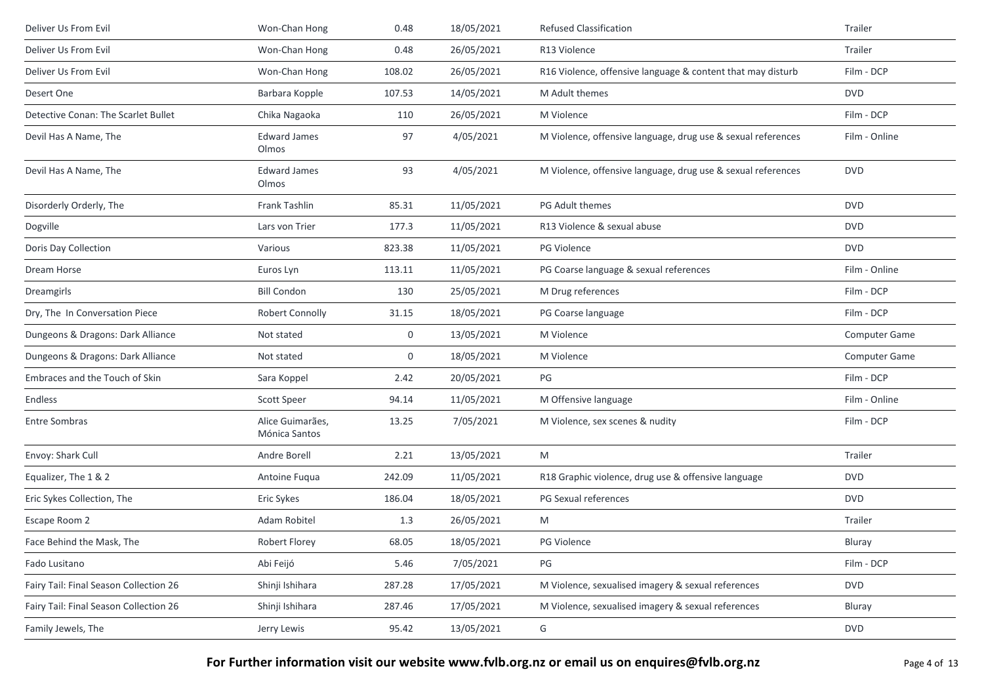| Deliver Us From Evil                   | Won-Chan Hong                     | 0.48   | 18/05/2021 | <b>Refused Classification</b>                                | Trailer              |
|----------------------------------------|-----------------------------------|--------|------------|--------------------------------------------------------------|----------------------|
| Deliver Us From Evil                   | Won-Chan Hong                     | 0.48   | 26/05/2021 | R13 Violence                                                 | Trailer              |
| Deliver Us From Evil                   | Won-Chan Hong                     | 108.02 | 26/05/2021 | R16 Violence, offensive language & content that may disturb  | Film - DCP           |
| Desert One                             | Barbara Kopple                    | 107.53 | 14/05/2021 | M Adult themes                                               | <b>DVD</b>           |
| Detective Conan: The Scarlet Bullet    | Chika Nagaoka                     | 110    | 26/05/2021 | M Violence                                                   | Film - DCP           |
| Devil Has A Name, The                  | <b>Edward James</b><br>Olmos      | 97     | 4/05/2021  | M Violence, offensive language, drug use & sexual references | Film - Online        |
| Devil Has A Name, The                  | <b>Edward James</b><br>Olmos      | 93     | 4/05/2021  | M Violence, offensive language, drug use & sexual references | <b>DVD</b>           |
| Disorderly Orderly, The                | Frank Tashlin                     | 85.31  | 11/05/2021 | PG Adult themes                                              | <b>DVD</b>           |
| Dogville                               | Lars von Trier                    | 177.3  | 11/05/2021 | R13 Violence & sexual abuse                                  | <b>DVD</b>           |
| Doris Day Collection                   | Various                           | 823.38 | 11/05/2021 | <b>PG Violence</b>                                           | <b>DVD</b>           |
| Dream Horse                            | Euros Lyn                         | 113.11 | 11/05/2021 | PG Coarse language & sexual references                       | Film - Online        |
| Dreamgirls                             | <b>Bill Condon</b>                | 130    | 25/05/2021 | M Drug references                                            | Film - DCP           |
| Dry, The In Conversation Piece         | Robert Connolly                   | 31.15  | 18/05/2021 | PG Coarse language                                           | Film - DCP           |
| Dungeons & Dragons: Dark Alliance      | Not stated                        | 0      | 13/05/2021 | M Violence                                                   | <b>Computer Game</b> |
| Dungeons & Dragons: Dark Alliance      | Not stated                        | 0      | 18/05/2021 | M Violence                                                   | Computer Game        |
| Embraces and the Touch of Skin         | Sara Koppel                       | 2.42   | 20/05/2021 | PG                                                           | Film - DCP           |
| Endless                                | Scott Speer                       | 94.14  | 11/05/2021 | M Offensive language                                         | Film - Online        |
| <b>Entre Sombras</b>                   | Alice Guimarães,<br>Mónica Santos | 13.25  | 7/05/2021  | M Violence, sex scenes & nudity                              | Film - DCP           |
| Envoy: Shark Cull                      | Andre Borell                      | 2.21   | 13/05/2021 | M                                                            | Trailer              |
| Equalizer, The 1 & 2                   | Antoine Fuqua                     | 242.09 | 11/05/2021 | R18 Graphic violence, drug use & offensive language          | <b>DVD</b>           |
| Eric Sykes Collection, The             | Eric Sykes                        | 186.04 | 18/05/2021 | PG Sexual references                                         | <b>DVD</b>           |
| Escape Room 2                          | Adam Robitel                      | 1.3    | 26/05/2021 | M                                                            | Trailer              |
| Face Behind the Mask, The              | Robert Florey                     | 68.05  | 18/05/2021 | <b>PG Violence</b>                                           | Bluray               |
| Fado Lusitano                          | Abi Feijó                         | 5.46   | 7/05/2021  | PG                                                           | Film - DCP           |
| Fairy Tail: Final Season Collection 26 | Shinji Ishihara                   | 287.28 | 17/05/2021 | M Violence, sexualised imagery & sexual references           | <b>DVD</b>           |
| Fairy Tail: Final Season Collection 26 | Shinji Ishihara                   | 287.46 | 17/05/2021 | M Violence, sexualised imagery & sexual references           | Bluray               |
| Family Jewels, The                     | Jerry Lewis                       | 95.42  | 13/05/2021 | G                                                            | <b>DVD</b>           |
|                                        |                                   |        |            |                                                              |                      |

For Further information visit our website www.fvlb.org.nz or email us on enquires@fvlb.org.nz<br>Page 4 of 13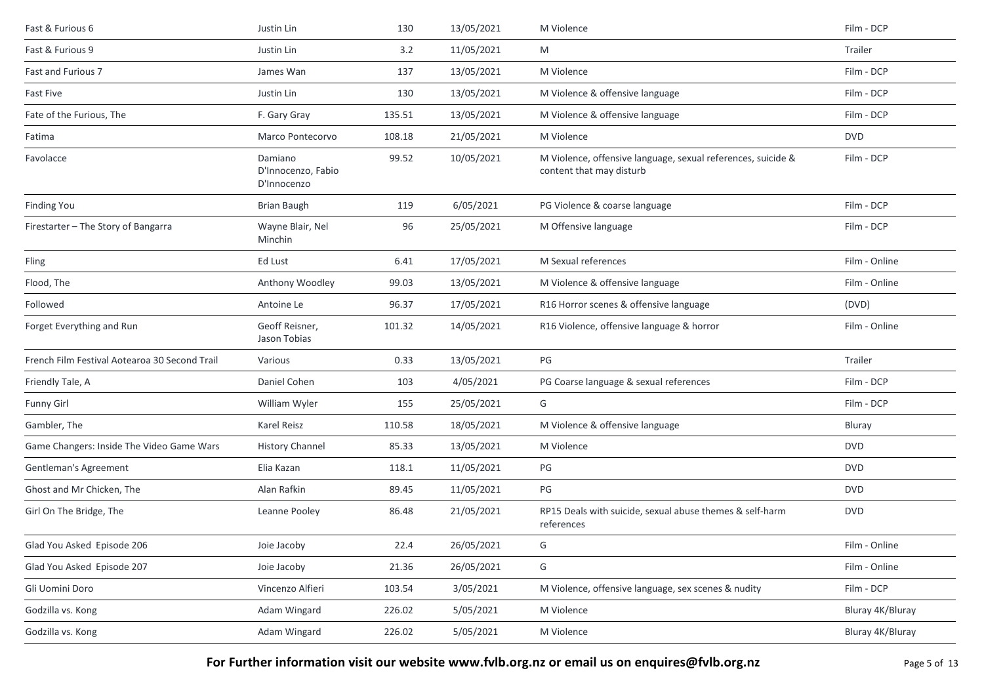| Justin Lin                                   | 130    | 13/05/2021 | M Violence                                                                               | Film - DCP       |
|----------------------------------------------|--------|------------|------------------------------------------------------------------------------------------|------------------|
| Justin Lin                                   | 3.2    | 11/05/2021 | M                                                                                        | Trailer          |
| James Wan                                    | 137    | 13/05/2021 | M Violence                                                                               | Film - DCP       |
| Justin Lin                                   | 130    | 13/05/2021 | M Violence & offensive language                                                          | Film - DCP       |
| F. Gary Gray                                 | 135.51 | 13/05/2021 | M Violence & offensive language                                                          | Film - DCP       |
| Marco Pontecorvo                             | 108.18 | 21/05/2021 | M Violence                                                                               | <b>DVD</b>       |
| Damiano<br>D'Innocenzo, Fabio<br>D'Innocenzo | 99.52  | 10/05/2021 | M Violence, offensive language, sexual references, suicide &<br>content that may disturb | Film - DCP       |
| <b>Brian Baugh</b>                           | 119    | 6/05/2021  | PG Violence & coarse language                                                            | Film - DCP       |
| Wayne Blair, Nel<br>Minchin                  | 96     | 25/05/2021 | M Offensive language                                                                     | Film - DCP       |
| Ed Lust                                      | 6.41   | 17/05/2021 | M Sexual references                                                                      | Film - Online    |
| Anthony Woodley                              | 99.03  | 13/05/2021 | M Violence & offensive language                                                          | Film - Online    |
| Antoine Le                                   | 96.37  | 17/05/2021 | R16 Horror scenes & offensive language                                                   | (DVD)            |
| Geoff Reisner,<br>Jason Tobias               | 101.32 | 14/05/2021 | R16 Violence, offensive language & horror                                                | Film - Online    |
| Various                                      | 0.33   | 13/05/2021 | PG                                                                                       | Trailer          |
| Daniel Cohen                                 | 103    | 4/05/2021  | PG Coarse language & sexual references                                                   | Film - DCP       |
| William Wyler                                | 155    | 25/05/2021 | G                                                                                        | Film - DCP       |
| Karel Reisz                                  | 110.58 | 18/05/2021 | M Violence & offensive language                                                          | Bluray           |
| <b>History Channel</b>                       | 85.33  | 13/05/2021 | M Violence                                                                               | <b>DVD</b>       |
| Elia Kazan                                   | 118.1  | 11/05/2021 | PG                                                                                       | <b>DVD</b>       |
| Alan Rafkin                                  | 89.45  | 11/05/2021 | PG                                                                                       | <b>DVD</b>       |
| Leanne Pooley                                | 86.48  | 21/05/2021 | RP15 Deals with suicide, sexual abuse themes & self-harm<br>references                   | <b>DVD</b>       |
| Joie Jacoby                                  | 22.4   | 26/05/2021 | G                                                                                        | Film - Online    |
| Joie Jacoby                                  | 21.36  | 26/05/2021 | G                                                                                        | Film - Online    |
| Vincenzo Alfieri                             | 103.54 | 3/05/2021  | M Violence, offensive language, sex scenes & nudity                                      | Film - DCP       |
| Adam Wingard                                 | 226.02 | 5/05/2021  | M Violence                                                                               | Bluray 4K/Bluray |
| Adam Wingard                                 | 226.02 | 5/05/2021  | M Violence                                                                               | Bluray 4K/Bluray |
|                                              |        |            |                                                                                          |                  |

For Further information visit our website www.fvlb.org.nz or email us on enquires@fvlb.org.nz<br>Page 5 of 13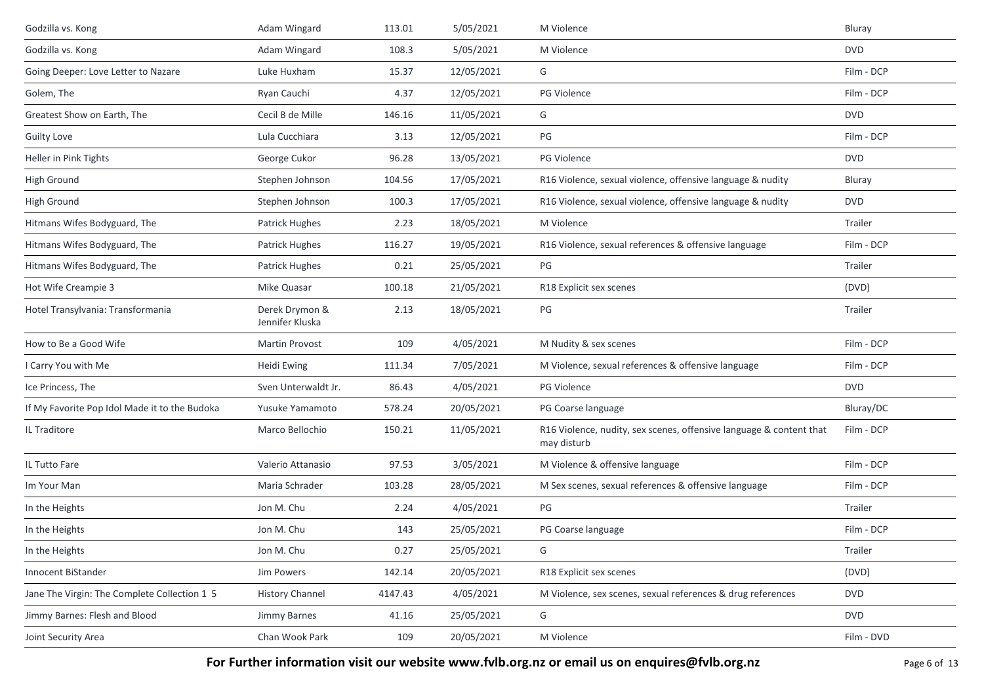| Godzilla vs. Kong                             | Adam Wingard                      | 113.01  | 5/05/2021  | M Violence                                                                         | Bluray     |
|-----------------------------------------------|-----------------------------------|---------|------------|------------------------------------------------------------------------------------|------------|
| Godzilla vs. Kong                             | Adam Wingard                      | 108.3   | 5/05/2021  | M Violence                                                                         | <b>DVD</b> |
| Going Deeper: Love Letter to Nazare           | Luke Huxham                       | 15.37   | 12/05/2021 | G                                                                                  | Film - DCP |
| Golem, The                                    | Ryan Cauchi                       | 4.37    | 12/05/2021 | PG Violence                                                                        | Film - DCP |
| Greatest Show on Earth, The                   | Cecil B de Mille                  | 146.16  | 11/05/2021 | G                                                                                  | <b>DVD</b> |
| <b>Guilty Love</b>                            | Lula Cucchiara                    | 3.13    | 12/05/2021 | PG                                                                                 | Film - DCP |
| Heller in Pink Tights                         | George Cukor                      | 96.28   | 13/05/2021 | <b>PG Violence</b>                                                                 | <b>DVD</b> |
| <b>High Ground</b>                            | Stephen Johnson                   | 104.56  | 17/05/2021 | R16 Violence, sexual violence, offensive language & nudity                         | Bluray     |
| <b>High Ground</b>                            | Stephen Johnson                   | 100.3   | 17/05/2021 | R16 Violence, sexual violence, offensive language & nudity                         | <b>DVD</b> |
| Hitmans Wifes Bodyguard, The                  | Patrick Hughes                    | 2.23    | 18/05/2021 | M Violence                                                                         | Trailer    |
| Hitmans Wifes Bodyguard, The                  | Patrick Hughes                    | 116.27  | 19/05/2021 | R16 Violence, sexual references & offensive language                               | Film - DCP |
| Hitmans Wifes Bodyguard, The                  | <b>Patrick Hughes</b>             | 0.21    | 25/05/2021 | PG                                                                                 | Trailer    |
| Hot Wife Creampie 3                           | Mike Quasar                       | 100.18  | 21/05/2021 | R18 Explicit sex scenes                                                            | (DVD)      |
| Hotel Transylvania: Transformania             | Derek Drymon &<br>Jennifer Kluska | 2.13    | 18/05/2021 | $PG$                                                                               | Trailer    |
| How to Be a Good Wife                         | Martin Provost                    | 109     | 4/05/2021  | M Nudity & sex scenes                                                              | Film - DCP |
| I Carry You with Me                           | Heidi Ewing                       | 111.34  | 7/05/2021  | M Violence, sexual references & offensive language                                 | Film - DCP |
| Ice Princess, The                             | Sven Unterwaldt Jr.               | 86.43   | 4/05/2021  | PG Violence                                                                        | <b>DVD</b> |
| If My Favorite Pop Idol Made it to the Budoka | Yusuke Yamamoto                   | 578.24  | 20/05/2021 | PG Coarse language                                                                 | Bluray/DC  |
| IL Traditore                                  | Marco Bellochio                   | 150.21  | 11/05/2021 | R16 Violence, nudity, sex scenes, offensive language & content that<br>may disturb | Film - DCP |
| IL Tutto Fare                                 | Valerio Attanasio                 | 97.53   | 3/05/2021  | M Violence & offensive language                                                    | Film - DCP |
| Im Your Man                                   | Maria Schrader                    | 103.28  | 28/05/2021 | M Sex scenes, sexual references & offensive language                               | Film - DCP |
| In the Heights                                | Jon M. Chu                        | 2.24    | 4/05/2021  | PG                                                                                 | Trailer    |
| In the Heights                                | Jon M. Chu                        | 143     | 25/05/2021 | PG Coarse language                                                                 | Film - DCP |
| In the Heights                                | Jon M. Chu                        | 0.27    | 25/05/2021 | G                                                                                  | Trailer    |
| Innocent BiStander                            | Jim Powers                        | 142.14  | 20/05/2021 | R18 Explicit sex scenes                                                            | (DVD)      |
| Jane The Virgin: The Complete Collection 1 5  | <b>History Channel</b>            | 4147.43 | 4/05/2021  | M Violence, sex scenes, sexual references & drug references                        | <b>DVD</b> |
| Jimmy Barnes: Flesh and Blood                 | Jimmy Barnes                      | 41.16   | 25/05/2021 | G                                                                                  | <b>DVD</b> |
| Joint Security Area                           | Chan Wook Park                    | 109     | 20/05/2021 | M Violence                                                                         | Film - DVD |

For Further information visit our website www.fvlb.org.nz or email us on enquires@fvlb.org.nz<br>Page 6 of 13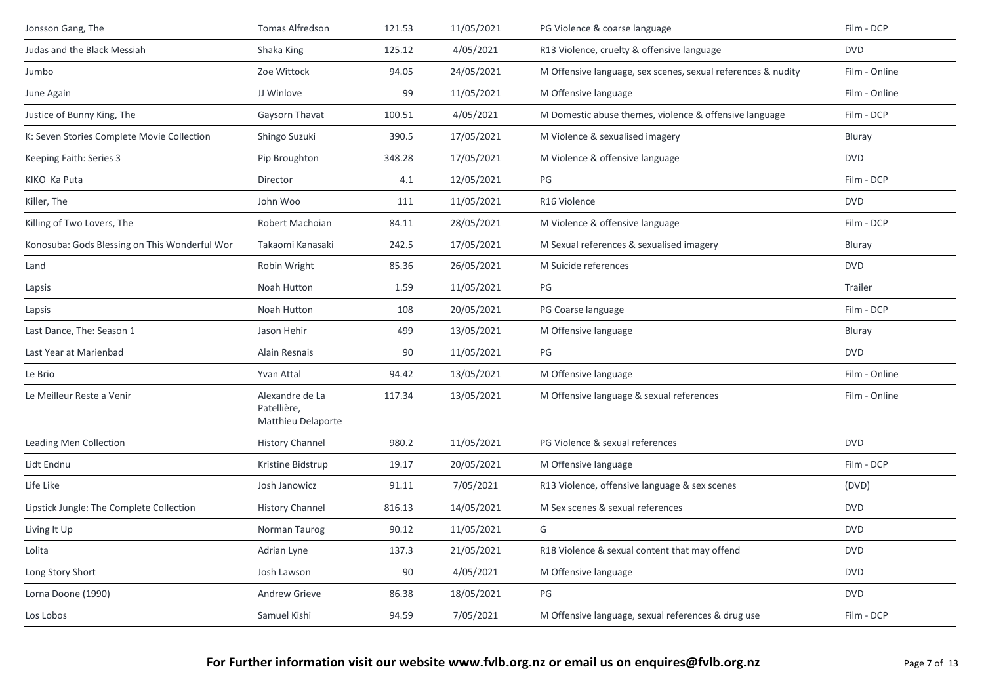| Jonsson Gang, The                             | Tomas Alfredson                                      | 121.53 | 11/05/2021 | PG Violence & coarse language                                | Film - DCP    |
|-----------------------------------------------|------------------------------------------------------|--------|------------|--------------------------------------------------------------|---------------|
| Judas and the Black Messiah                   | Shaka King                                           | 125.12 | 4/05/2021  | R13 Violence, cruelty & offensive language                   | <b>DVD</b>    |
| Jumbo                                         | Zoe Wittock                                          | 94.05  | 24/05/2021 | M Offensive language, sex scenes, sexual references & nudity | Film - Online |
| June Again                                    | JJ Winlove                                           | 99     | 11/05/2021 | M Offensive language                                         | Film - Online |
| Justice of Bunny King, The                    | Gaysorn Thavat                                       | 100.51 | 4/05/2021  | M Domestic abuse themes, violence & offensive language       | Film - DCP    |
| K: Seven Stories Complete Movie Collection    | Shingo Suzuki                                        | 390.5  | 17/05/2021 | M Violence & sexualised imagery                              | Bluray        |
| Keeping Faith: Series 3                       | Pip Broughton                                        | 348.28 | 17/05/2021 | M Violence & offensive language                              | <b>DVD</b>    |
| KIKO Ka Puta                                  | Director                                             | 4.1    | 12/05/2021 | PG                                                           | Film - DCP    |
| Killer, The                                   | John Woo                                             | 111    | 11/05/2021 | R16 Violence                                                 | <b>DVD</b>    |
| Killing of Two Lovers, The                    | Robert Machoian                                      | 84.11  | 28/05/2021 | M Violence & offensive language                              | Film - DCP    |
| Konosuba: Gods Blessing on This Wonderful Wor | Takaomi Kanasaki                                     | 242.5  | 17/05/2021 | M Sexual references & sexualised imagery                     | Bluray        |
| Land                                          | Robin Wright                                         | 85.36  | 26/05/2021 | M Suicide references                                         | <b>DVD</b>    |
| Lapsis                                        | Noah Hutton                                          | 1.59   | 11/05/2021 | PG                                                           | Trailer       |
| Lapsis                                        | Noah Hutton                                          | 108    | 20/05/2021 | PG Coarse language                                           | Film - DCP    |
| Last Dance, The: Season 1                     | Jason Hehir                                          | 499    | 13/05/2021 | M Offensive language                                         | Bluray        |
| Last Year at Marienbad                        | Alain Resnais                                        | 90     | 11/05/2021 | PG                                                           | <b>DVD</b>    |
| Le Brio                                       | Yvan Attal                                           | 94.42  | 13/05/2021 | M Offensive language                                         | Film - Online |
| Le Meilleur Reste a Venir                     | Alexandre de La<br>Patellière,<br>Matthieu Delaporte | 117.34 | 13/05/2021 | M Offensive language & sexual references                     | Film - Online |
| <b>Leading Men Collection</b>                 | <b>History Channel</b>                               | 980.2  | 11/05/2021 | PG Violence & sexual references                              | <b>DVD</b>    |
| Lidt Endnu                                    | Kristine Bidstrup                                    | 19.17  | 20/05/2021 | M Offensive language                                         | Film - DCP    |
| Life Like                                     | Josh Janowicz                                        | 91.11  | 7/05/2021  | R13 Violence, offensive language & sex scenes                | (DVD)         |
| Lipstick Jungle: The Complete Collection      | <b>History Channel</b>                               | 816.13 | 14/05/2021 | M Sex scenes & sexual references                             | <b>DVD</b>    |
| Living It Up                                  | Norman Taurog                                        | 90.12  | 11/05/2021 | G                                                            | <b>DVD</b>    |
| Lolita                                        | Adrian Lyne                                          | 137.3  | 21/05/2021 | R18 Violence & sexual content that may offend                | <b>DVD</b>    |
| Long Story Short                              | Josh Lawson                                          | 90     | 4/05/2021  | M Offensive language                                         | <b>DVD</b>    |
| Lorna Doone (1990)                            | <b>Andrew Grieve</b>                                 | 86.38  | 18/05/2021 | PG                                                           | <b>DVD</b>    |
| Los Lobos                                     | Samuel Kishi                                         | 94.59  | 7/05/2021  | M Offensive language, sexual references & drug use           | Film - DCP    |
|                                               |                                                      |        |            |                                                              |               |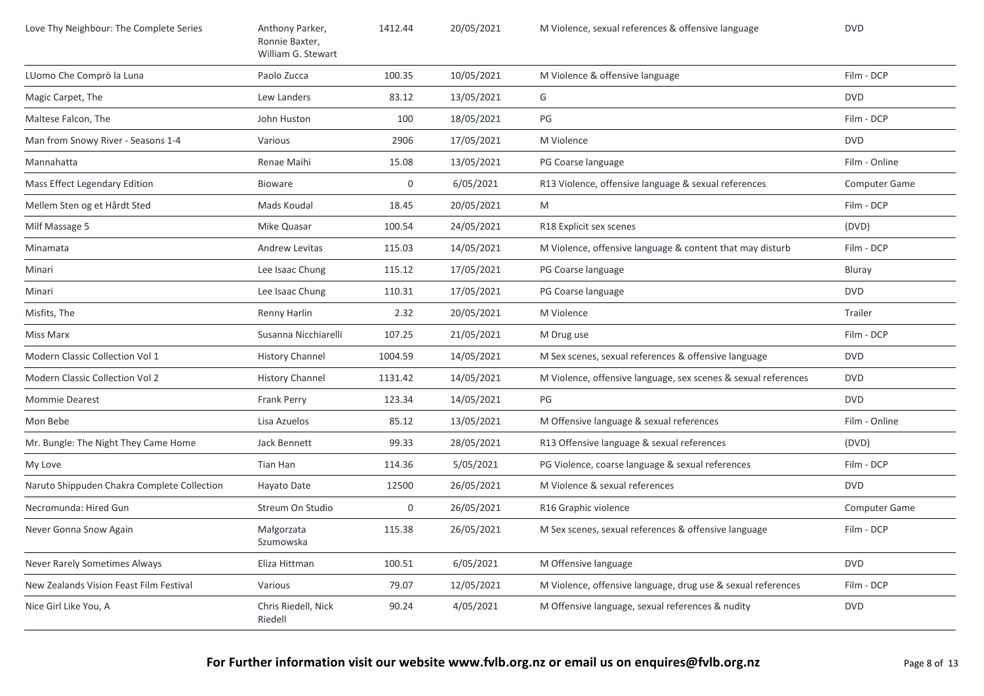| Love Thy Neighbour: The Complete Series     | Anthony Parker,<br>Ronnie Baxter,<br>William G. Stewart | 1412.44 | 20/05/2021 | M Violence, sexual references & offensive language             | <b>DVD</b>           |
|---------------------------------------------|---------------------------------------------------------|---------|------------|----------------------------------------------------------------|----------------------|
| LUomo Che Comprò la Luna                    | Paolo Zucca                                             | 100.35  | 10/05/2021 | M Violence & offensive language                                | Film - DCP           |
| Magic Carpet, The                           | Lew Landers                                             | 83.12   | 13/05/2021 | G                                                              | <b>DVD</b>           |
| Maltese Falcon, The                         | John Huston                                             | 100     | 18/05/2021 | PG                                                             | Film - DCP           |
| Man from Snowy River - Seasons 1-4          | Various                                                 | 2906    | 17/05/2021 | M Violence                                                     | <b>DVD</b>           |
| Mannahatta                                  | Renae Maihi                                             | 15.08   | 13/05/2021 | PG Coarse language                                             | Film - Online        |
| Mass Effect Legendary Edition               | <b>Bioware</b>                                          | 0       | 6/05/2021  | R13 Violence, offensive language & sexual references           | <b>Computer Game</b> |
| Mellem Sten og et Hårdt Sted                | Mads Koudal                                             | 18.45   | 20/05/2021 | M                                                              | Film - DCP           |
| Milf Massage 5                              | Mike Quasar                                             | 100.54  | 24/05/2021 | R18 Explicit sex scenes                                        | (DVD)                |
| Minamata                                    | <b>Andrew Levitas</b>                                   | 115.03  | 14/05/2021 | M Violence, offensive language & content that may disturb      | Film - DCP           |
| Minari                                      | Lee Isaac Chung                                         | 115.12  | 17/05/2021 | PG Coarse language                                             | Bluray               |
| Minari                                      | Lee Isaac Chung                                         | 110.31  | 17/05/2021 | PG Coarse language                                             | <b>DVD</b>           |
| Misfits, The                                | Renny Harlin                                            | 2.32    | 20/05/2021 | M Violence                                                     | Trailer              |
| Miss Marx                                   | Susanna Nicchiarelli                                    | 107.25  | 21/05/2021 | M Drug use                                                     | Film - DCP           |
| Modern Classic Collection Vol 1             | <b>History Channel</b>                                  | 1004.59 | 14/05/2021 | M Sex scenes, sexual references & offensive language           | <b>DVD</b>           |
| Modern Classic Collection Vol 2             | <b>History Channel</b>                                  | 1131.42 | 14/05/2021 | M Violence, offensive language, sex scenes & sexual references | <b>DVD</b>           |
| <b>Mommie Dearest</b>                       | Frank Perry                                             | 123.34  | 14/05/2021 | PG                                                             | <b>DVD</b>           |
| Mon Bebe                                    | Lisa Azuelos                                            | 85.12   | 13/05/2021 | M Offensive language & sexual references                       | Film - Online        |
| Mr. Bungle: The Night They Came Home        | Jack Bennett                                            | 99.33   | 28/05/2021 | R13 Offensive language & sexual references                     | (DVD)                |
| My Love                                     | Tian Han                                                | 114.36  | 5/05/2021  | PG Violence, coarse language & sexual references               | Film - DCP           |
| Naruto Shippuden Chakra Complete Collection | Hayato Date                                             | 12500   | 26/05/2021 | M Violence & sexual references                                 | <b>DVD</b>           |
| Necromunda: Hired Gun                       | Streum On Studio                                        | 0       | 26/05/2021 | R16 Graphic violence                                           | Computer Game        |
| Never Gonna Snow Again                      | Małgorzata<br>Szumowska                                 | 115.38  | 26/05/2021 | M Sex scenes, sexual references & offensive language           | Film - DCP           |
| Never Rarely Sometimes Always               | Eliza Hittman                                           | 100.51  | 6/05/2021  | M Offensive language                                           | <b>DVD</b>           |
| New Zealands Vision Feast Film Festival     | Various                                                 | 79.07   | 12/05/2021 | M Violence, offensive language, drug use & sexual references   | Film - DCP           |
| Nice Girl Like You, A                       | Chris Riedell, Nick<br>Riedell                          | 90.24   | 4/05/2021  | M Offensive language, sexual references & nudity               | <b>DVD</b>           |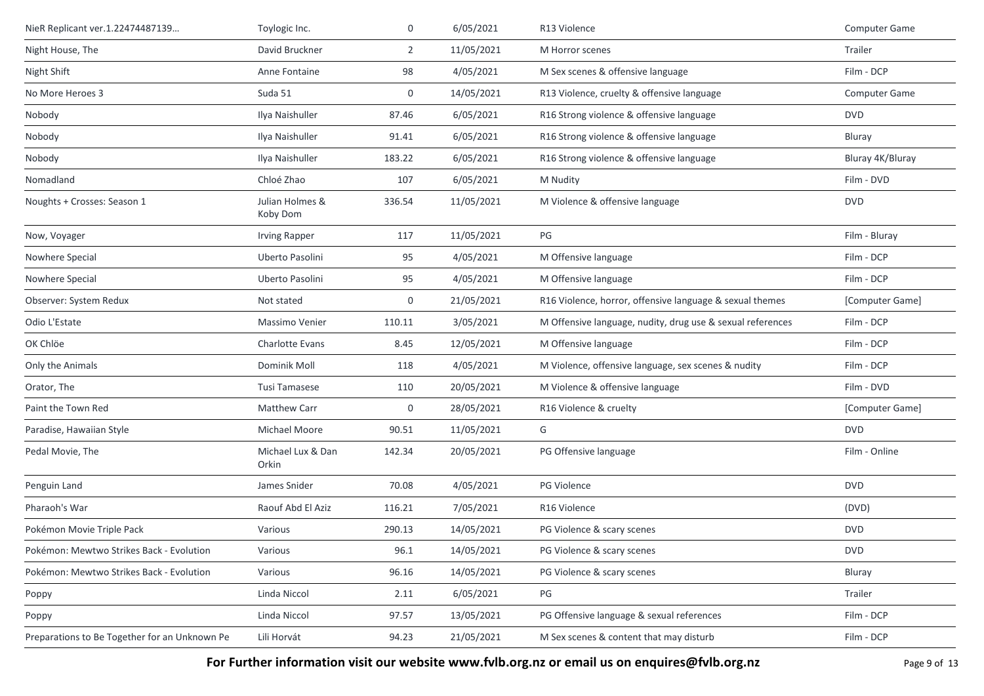| NieR Replicant ver.1.22474487139              | Toylogic Inc.               | 0              | 6/05/2021  | R13 Violence                                               | Computer Game    |
|-----------------------------------------------|-----------------------------|----------------|------------|------------------------------------------------------------|------------------|
| Night House, The                              | David Bruckner              | $\overline{2}$ | 11/05/2021 | M Horror scenes                                            | Trailer          |
| Night Shift                                   | Anne Fontaine               | 98             | 4/05/2021  | M Sex scenes & offensive language                          | Film - DCP       |
| No More Heroes 3                              | Suda 51                     | 0              | 14/05/2021 | R13 Violence, cruelty & offensive language                 | Computer Game    |
| Nobody                                        | Ilya Naishuller             | 87.46          | 6/05/2021  | R16 Strong violence & offensive language                   | <b>DVD</b>       |
| Nobody                                        | Ilya Naishuller             | 91.41          | 6/05/2021  | R16 Strong violence & offensive language                   | Bluray           |
| Nobody                                        | Ilya Naishuller             | 183.22         | 6/05/2021  | R16 Strong violence & offensive language                   | Bluray 4K/Bluray |
| Nomadland                                     | Chloé Zhao                  | 107            | 6/05/2021  | M Nudity                                                   | Film - DVD       |
| Noughts + Crosses: Season 1                   | Julian Holmes &<br>Koby Dom | 336.54         | 11/05/2021 | M Violence & offensive language                            | <b>DVD</b>       |
| Now, Voyager                                  | <b>Irving Rapper</b>        | 117            | 11/05/2021 | PG                                                         | Film - Bluray    |
| Nowhere Special                               | Uberto Pasolini             | 95             | 4/05/2021  | M Offensive language                                       | Film - DCP       |
| Nowhere Special                               | Uberto Pasolini             | 95             | 4/05/2021  | M Offensive language                                       | Film - DCP       |
| Observer: System Redux                        | Not stated                  | 0              | 21/05/2021 | R16 Violence, horror, offensive language & sexual themes   | [Computer Game]  |
| Odio L'Estate                                 | Massimo Venier              | 110.11         | 3/05/2021  | M Offensive language, nudity, drug use & sexual references | Film - DCP       |
| OK Chlöe                                      | Charlotte Evans             | 8.45           | 12/05/2021 | M Offensive language                                       | Film - DCP       |
| Only the Animals                              | Dominik Moll                | 118            | 4/05/2021  | M Violence, offensive language, sex scenes & nudity        | Film - DCP       |
| Orator, The                                   | Tusi Tamasese               | 110            | 20/05/2021 | M Violence & offensive language                            | Film - DVD       |
| Paint the Town Red                            | <b>Matthew Carr</b>         | 0              | 28/05/2021 | R16 Violence & cruelty                                     | [Computer Game]  |
| Paradise, Hawaiian Style                      | Michael Moore               | 90.51          | 11/05/2021 | G                                                          | <b>DVD</b>       |
| Pedal Movie, The                              | Michael Lux & Dan<br>Orkin  | 142.34         | 20/05/2021 | PG Offensive language                                      | Film - Online    |
| Penguin Land                                  | James Snider                | 70.08          | 4/05/2021  | PG Violence                                                | <b>DVD</b>       |
| Pharaoh's War                                 | Raouf Abd El Aziz           | 116.21         | 7/05/2021  | R16 Violence                                               | (DVD)            |
| Pokémon Movie Triple Pack                     | Various                     | 290.13         | 14/05/2021 | PG Violence & scary scenes                                 | <b>DVD</b>       |
| Pokémon: Mewtwo Strikes Back - Evolution      | Various                     | 96.1           | 14/05/2021 | PG Violence & scary scenes                                 | <b>DVD</b>       |
| Pokémon: Mewtwo Strikes Back - Evolution      | Various                     | 96.16          | 14/05/2021 | PG Violence & scary scenes                                 | Bluray           |
| Poppy                                         | Linda Niccol                | 2.11           | 6/05/2021  | PG                                                         | Trailer          |
| Poppy                                         | Linda Niccol                | 97.57          | 13/05/2021 | PG Offensive language & sexual references                  | Film - DCP       |
| Preparations to Be Together for an Unknown Pe | Lili Horvát                 | 94.23          | 21/05/2021 | M Sex scenes & content that may disturb                    | Film - DCP       |

For Further information visit our website www.fvlb.org.nz or email us on enquires@fvlb.org.nz<br>Page 9 of 13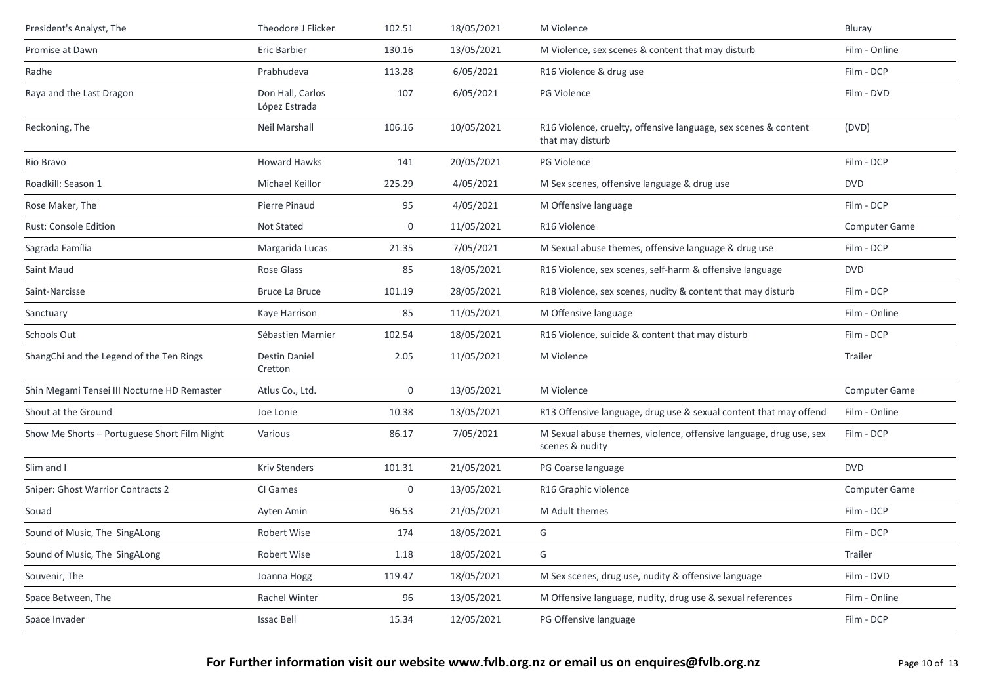| President's Analyst, The                     | Theodore J Flicker                | 102.51      | 18/05/2021 | M Violence                                                                            | Bluray               |
|----------------------------------------------|-----------------------------------|-------------|------------|---------------------------------------------------------------------------------------|----------------------|
| Promise at Dawn                              | Eric Barbier                      | 130.16      | 13/05/2021 | M Violence, sex scenes & content that may disturb                                     | Film - Online        |
| Radhe                                        | Prabhudeva                        | 113.28      | 6/05/2021  | R16 Violence & drug use                                                               | Film - DCP           |
| Raya and the Last Dragon                     | Don Hall, Carlos<br>López Estrada | 107         | 6/05/2021  | <b>PG Violence</b>                                                                    | Film - DVD           |
| Reckoning, The                               | Neil Marshall                     | 106.16      | 10/05/2021 | R16 Violence, cruelty, offensive language, sex scenes & content<br>that may disturb   | (DVD)                |
| Rio Bravo                                    | <b>Howard Hawks</b>               | 141         | 20/05/2021 | PG Violence                                                                           | Film - DCP           |
| Roadkill: Season 1                           | Michael Keillor                   | 225.29      | 4/05/2021  | M Sex scenes, offensive language & drug use                                           | <b>DVD</b>           |
| Rose Maker, The                              | Pierre Pinaud                     | 95          | 4/05/2021  | M Offensive language                                                                  | Film - DCP           |
| Rust: Console Edition                        | Not Stated                        | $\mathbf 0$ | 11/05/2021 | R16 Violence                                                                          | <b>Computer Game</b> |
| Sagrada Família                              | Margarida Lucas                   | 21.35       | 7/05/2021  | M Sexual abuse themes, offensive language & drug use                                  | Film - DCP           |
| Saint Maud                                   | Rose Glass                        | 85          | 18/05/2021 | R16 Violence, sex scenes, self-harm & offensive language                              | <b>DVD</b>           |
| Saint-Narcisse                               | <b>Bruce La Bruce</b>             | 101.19      | 28/05/2021 | R18 Violence, sex scenes, nudity & content that may disturb                           | Film - DCP           |
| Sanctuary                                    | Kaye Harrison                     | 85          | 11/05/2021 | M Offensive language                                                                  | Film - Online        |
| Schools Out                                  | Sébastien Marnier                 | 102.54      | 18/05/2021 | R16 Violence, suicide & content that may disturb                                      | Film - DCP           |
| ShangChi and the Legend of the Ten Rings     | <b>Destin Daniel</b><br>Cretton   | 2.05        | 11/05/2021 | M Violence                                                                            | Trailer              |
| Shin Megami Tensei III Nocturne HD Remaster  | Atlus Co., Ltd.                   | 0           | 13/05/2021 | M Violence                                                                            | <b>Computer Game</b> |
| Shout at the Ground                          | Joe Lonie                         | 10.38       | 13/05/2021 | R13 Offensive language, drug use & sexual content that may offend                     | Film - Online        |
| Show Me Shorts - Portuguese Short Film Night | Various                           | 86.17       | 7/05/2021  | M Sexual abuse themes, violence, offensive language, drug use, sex<br>scenes & nudity | Film - DCP           |
| Slim and I                                   | <b>Kriv Stenders</b>              | 101.31      | 21/05/2021 | PG Coarse language                                                                    | <b>DVD</b>           |
| Sniper: Ghost Warrior Contracts 2            | CI Games                          | 0           | 13/05/2021 | R16 Graphic violence                                                                  | <b>Computer Game</b> |
| Souad                                        | Ayten Amin                        | 96.53       | 21/05/2021 | M Adult themes                                                                        | Film - DCP           |
| Sound of Music, The SingALong                | Robert Wise                       | 174         | 18/05/2021 | G                                                                                     | Film - DCP           |
| Sound of Music, The SingALong                | Robert Wise                       | 1.18        | 18/05/2021 | G                                                                                     | Trailer              |
| Souvenir, The                                | Joanna Hogg                       | 119.47      | 18/05/2021 | M Sex scenes, drug use, nudity & offensive language                                   | Film - DVD           |
| Space Between, The                           | <b>Rachel Winter</b>              | 96          | 13/05/2021 | M Offensive language, nudity, drug use & sexual references                            | Film - Online        |
| Space Invader                                | <b>Issac Bell</b>                 | 15.34       | 12/05/2021 | PG Offensive language                                                                 | Film - DCP           |
|                                              |                                   |             |            |                                                                                       |                      |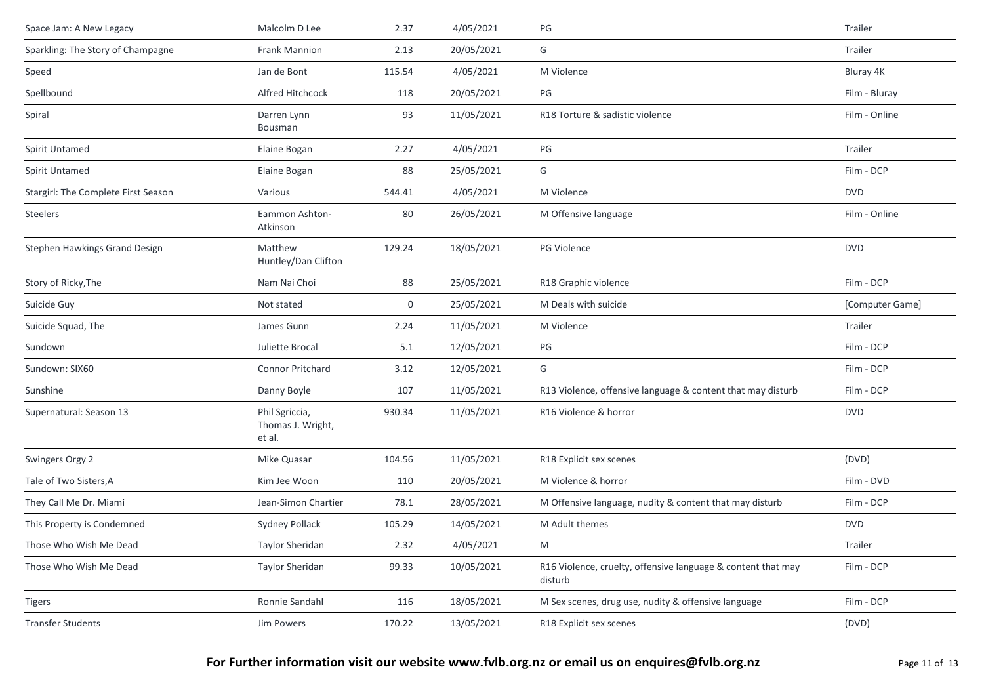| Space Jam: A New Legacy             | Malcolm D Lee                                 | 2.37   | 4/05/2021  | PG                                                                      | Trailer         |
|-------------------------------------|-----------------------------------------------|--------|------------|-------------------------------------------------------------------------|-----------------|
| Sparkling: The Story of Champagne   | Frank Mannion                                 | 2.13   | 20/05/2021 | G                                                                       | Trailer         |
| Speed                               | Jan de Bont                                   | 115.54 | 4/05/2021  | M Violence                                                              | Bluray 4K       |
| Spellbound                          | Alfred Hitchcock                              | 118    | 20/05/2021 | PG                                                                      | Film - Bluray   |
| Spiral                              | Darren Lynn<br>Bousman                        | 93     | 11/05/2021 | R18 Torture & sadistic violence                                         | Film - Online   |
| Spirit Untamed                      | Elaine Bogan                                  | 2.27   | 4/05/2021  | PG                                                                      | Trailer         |
| Spirit Untamed                      | Elaine Bogan                                  | 88     | 25/05/2021 | G                                                                       | Film - DCP      |
| Stargirl: The Complete First Season | Various                                       | 544.41 | 4/05/2021  | M Violence                                                              | <b>DVD</b>      |
| <b>Steelers</b>                     | Eammon Ashton-<br>Atkinson                    | 80     | 26/05/2021 | M Offensive language                                                    | Film - Online   |
| Stephen Hawkings Grand Design       | Matthew<br>Huntley/Dan Clifton                | 129.24 | 18/05/2021 | PG Violence                                                             | <b>DVD</b>      |
| Story of Ricky, The                 | Nam Nai Choi                                  | 88     | 25/05/2021 | R18 Graphic violence                                                    | Film - DCP      |
| Suicide Guy                         | Not stated                                    | 0      | 25/05/2021 | M Deals with suicide                                                    | [Computer Game] |
| Suicide Squad, The                  | James Gunn                                    | 2.24   | 11/05/2021 | M Violence                                                              | Trailer         |
| Sundown                             | Juliette Brocal                               | 5.1    | 12/05/2021 | PG                                                                      | Film - DCP      |
| Sundown: SIX60                      | Connor Pritchard                              | 3.12   | 12/05/2021 | G                                                                       | Film - DCP      |
| Sunshine                            | Danny Boyle                                   | 107    | 11/05/2021 | R13 Violence, offensive language & content that may disturb             | Film - DCP      |
| Supernatural: Season 13             | Phil Sgriccia,<br>Thomas J. Wright,<br>et al. | 930.34 | 11/05/2021 | R16 Violence & horror                                                   | <b>DVD</b>      |
| Swingers Orgy 2                     | Mike Quasar                                   | 104.56 | 11/05/2021 | R18 Explicit sex scenes                                                 | (DVD)           |
| Tale of Two Sisters, A              | Kim Jee Woon                                  | 110    | 20/05/2021 | M Violence & horror                                                     | Film - DVD      |
| They Call Me Dr. Miami              | Jean-Simon Chartier                           | 78.1   | 28/05/2021 | M Offensive language, nudity & content that may disturb                 | Film - DCP      |
| This Property is Condemned          | Sydney Pollack                                | 105.29 | 14/05/2021 | M Adult themes                                                          | <b>DVD</b>      |
| Those Who Wish Me Dead              | Taylor Sheridan                               | 2.32   | 4/05/2021  | M                                                                       | Trailer         |
| Those Who Wish Me Dead              | Taylor Sheridan                               | 99.33  | 10/05/2021 | R16 Violence, cruelty, offensive language & content that may<br>disturb | Film - DCP      |
| Tigers                              | Ronnie Sandahl                                | 116    | 18/05/2021 | M Sex scenes, drug use, nudity & offensive language                     | Film - DCP      |
| <b>Transfer Students</b>            | Jim Powers                                    | 170.22 | 13/05/2021 | R18 Explicit sex scenes                                                 | (DVD)           |
|                                     |                                               |        |            |                                                                         |                 |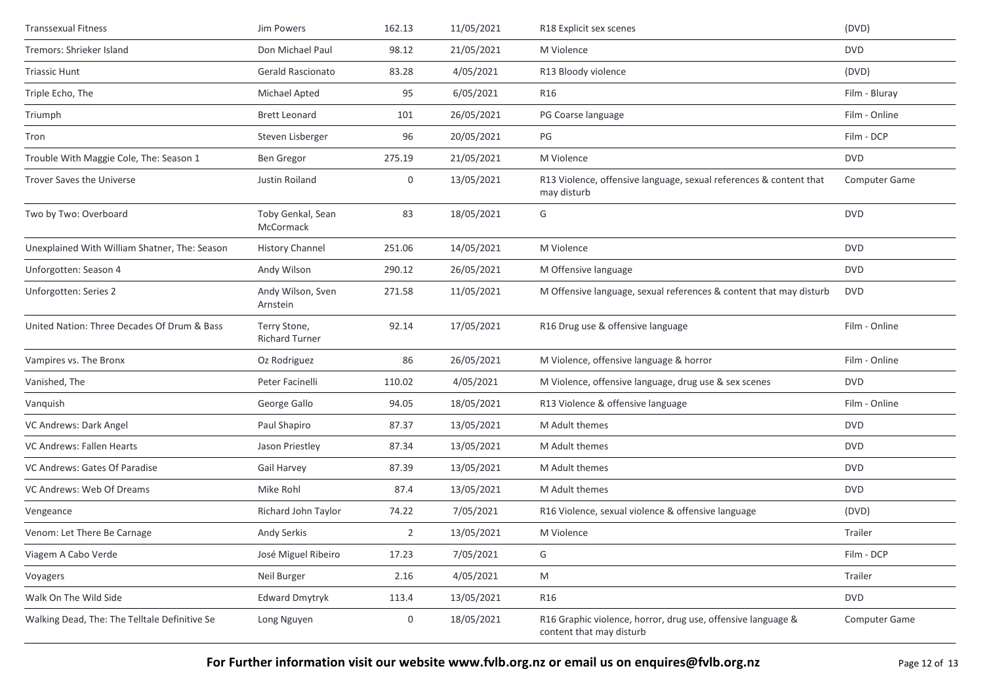| <b>Transsexual Fitness</b>                    | Jim Powers                            | 162.13         | 11/05/2021 | R18 Explicit sex scenes                                                                  | (DVD)         |
|-----------------------------------------------|---------------------------------------|----------------|------------|------------------------------------------------------------------------------------------|---------------|
| Tremors: Shrieker Island                      | Don Michael Paul                      | 98.12          | 21/05/2021 | M Violence                                                                               | <b>DVD</b>    |
| <b>Triassic Hunt</b>                          | Gerald Rascionato                     | 83.28          | 4/05/2021  | R13 Bloody violence                                                                      | (DVD)         |
| Triple Echo, The                              | Michael Apted                         | 95             | 6/05/2021  | R16                                                                                      | Film - Bluray |
| Triumph                                       | <b>Brett Leonard</b>                  | 101            | 26/05/2021 | PG Coarse language                                                                       | Film - Online |
| Tron                                          | Steven Lisberger                      | 96             | 20/05/2021 | PG                                                                                       | Film - DCP    |
| Trouble With Maggie Cole, The: Season 1       | Ben Gregor                            | 275.19         | 21/05/2021 | M Violence                                                                               | <b>DVD</b>    |
| Trover Saves the Universe                     | Justin Roiland                        | 0              | 13/05/2021 | R13 Violence, offensive language, sexual references & content that<br>may disturb        | Computer Game |
| Two by Two: Overboard                         | Toby Genkal, Sean<br>McCormack        | 83             | 18/05/2021 | G                                                                                        | <b>DVD</b>    |
| Unexplained With William Shatner, The: Season | <b>History Channel</b>                | 251.06         | 14/05/2021 | M Violence                                                                               | <b>DVD</b>    |
| Unforgotten: Season 4                         | Andy Wilson                           | 290.12         | 26/05/2021 | M Offensive language                                                                     | <b>DVD</b>    |
| Unforgotten: Series 2                         | Andy Wilson, Sven<br>Arnstein         | 271.58         | 11/05/2021 | M Offensive language, sexual references & content that may disturb                       | <b>DVD</b>    |
| United Nation: Three Decades Of Drum & Bass   | Terry Stone,<br><b>Richard Turner</b> | 92.14          | 17/05/2021 | R16 Drug use & offensive language                                                        | Film - Online |
| Vampires vs. The Bronx                        | Oz Rodriguez                          | 86             | 26/05/2021 | M Violence, offensive language & horror                                                  | Film - Online |
| Vanished, The                                 | Peter Facinelli                       | 110.02         | 4/05/2021  | M Violence, offensive language, drug use & sex scenes                                    | <b>DVD</b>    |
| Vanquish                                      | George Gallo                          | 94.05          | 18/05/2021 | R13 Violence & offensive language                                                        | Film - Online |
| VC Andrews: Dark Angel                        | Paul Shapiro                          | 87.37          | 13/05/2021 | M Adult themes                                                                           | <b>DVD</b>    |
| VC Andrews: Fallen Hearts                     | Jason Priestley                       | 87.34          | 13/05/2021 | M Adult themes                                                                           | <b>DVD</b>    |
| VC Andrews: Gates Of Paradise                 | Gail Harvey                           | 87.39          | 13/05/2021 | M Adult themes                                                                           | <b>DVD</b>    |
| VC Andrews: Web Of Dreams                     | Mike Rohl                             | 87.4           | 13/05/2021 | M Adult themes                                                                           | <b>DVD</b>    |
| Vengeance                                     | Richard John Taylor                   | 74.22          | 7/05/2021  | R16 Violence, sexual violence & offensive language                                       | (DVD)         |
| Venom: Let There Be Carnage                   | Andy Serkis                           | $\overline{2}$ | 13/05/2021 | M Violence                                                                               | Trailer       |
| Viagem A Cabo Verde                           | José Miguel Ribeiro                   | 17.23          | 7/05/2021  | G                                                                                        | Film - DCP    |
| Voyagers                                      | Neil Burger                           | 2.16           | 4/05/2021  | M                                                                                        | Trailer       |
| Walk On The Wild Side                         | Edward Dmytryk                        | 113.4          | 13/05/2021 | <b>R16</b>                                                                               | <b>DVD</b>    |
| Walking Dead, The: The Telltale Definitive Se | Long Nguyen                           | 0              | 18/05/2021 | R16 Graphic violence, horror, drug use, offensive language &<br>content that may disturb | Computer Game |